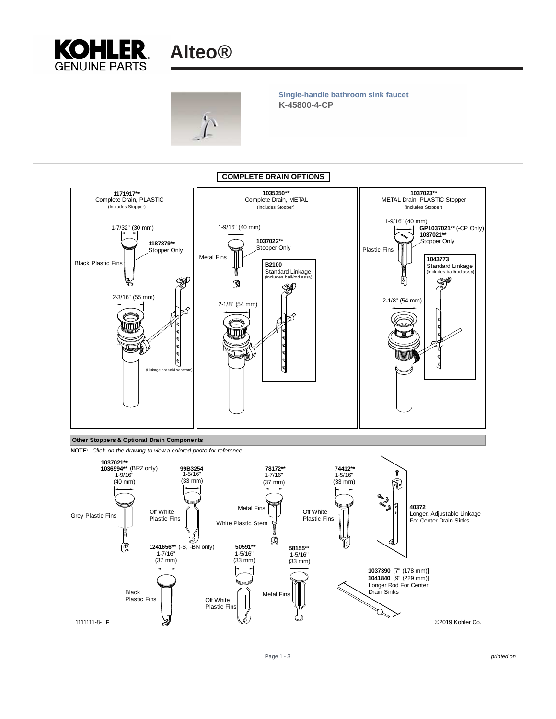



**K-45800-4-CP Single-handle bathroom sink faucet**





Page 1 - 3 printed on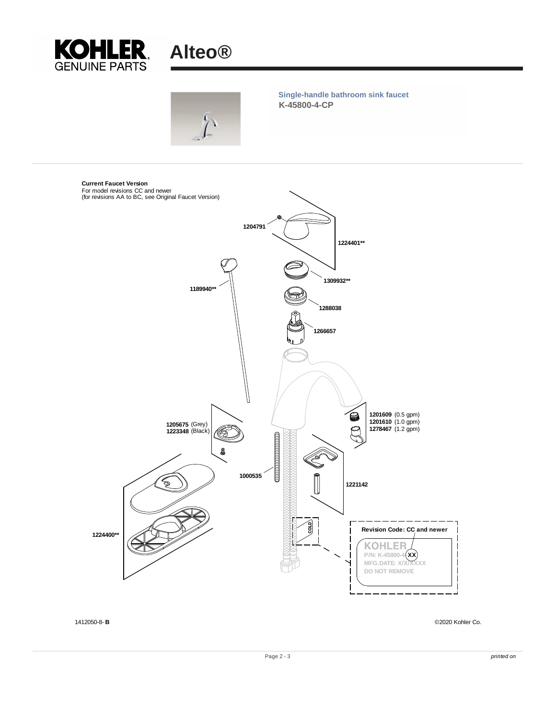



1412050-8- **B** ©2020 Kohler Co.